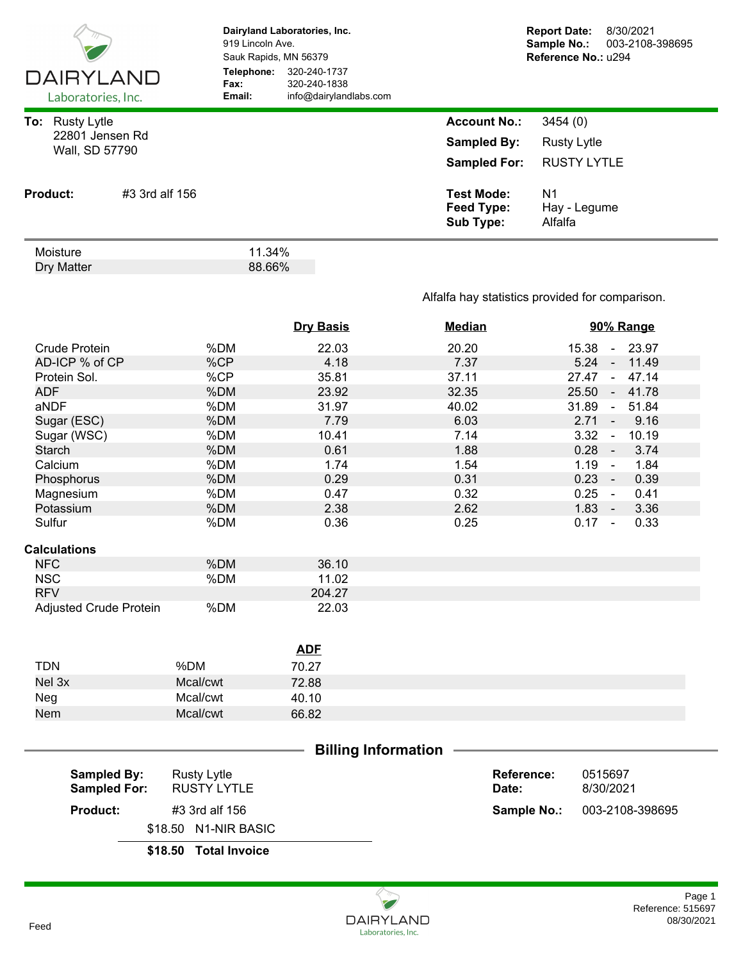| <b>DAIRYLAND</b><br>Laboratories, Inc.                         |                | Dairyland Laboratories, Inc.<br>919 Lincoln Ave.<br>Sauk Rapids, MN 56379<br>Telephone:<br>320-240-1737<br>320-240-1838<br>Fax:<br>info@dairylandlabs.com<br>Email: |  | <b>Report Date:</b><br>8/30/2021<br>Sample No.:<br>003-2108-398695<br>Reference No.: u294 |                                                     |  |
|----------------------------------------------------------------|----------------|---------------------------------------------------------------------------------------------------------------------------------------------------------------------|--|-------------------------------------------------------------------------------------------|-----------------------------------------------------|--|
| <b>Rusty Lytle</b><br>To:<br>22801 Jensen Rd<br>Wall, SD 57790 |                |                                                                                                                                                                     |  | <b>Account No.:</b><br><b>Sampled By:</b><br><b>Sampled For:</b>                          | 3454(0)<br><b>Rusty Lytle</b><br><b>RUSTY LYTLE</b> |  |
| <b>Product:</b>                                                | #3 3rd alf 156 |                                                                                                                                                                     |  | <b>Test Mode:</b><br>Feed Type:<br><b>Sub Type:</b>                                       | N <sub>1</sub><br>Hay - Legume<br>Alfalfa           |  |
| Moisture<br>Dry Matter                                         |                | 11.34%<br>88.66%                                                                                                                                                    |  |                                                                                           |                                                     |  |

## Alfalfa hay statistics provided for comparison.

|                                           |                                          | <b>Dry Basis</b> | <b>Median</b> |                     | 90% Range                        |       |
|-------------------------------------------|------------------------------------------|------------------|---------------|---------------------|----------------------------------|-------|
| <b>Crude Protein</b>                      | %DM                                      | 22.03            | 20.20         |                     | 15.38<br>$\sim$                  | 23.97 |
| AD-ICP % of CP                            | %CP                                      | 4.18             | 7.37          |                     | 5.24<br>$\sim$                   | 11.49 |
| Protein Sol.                              | %CP                                      | 35.81            | 37.11         |                     | 27.47<br>$\sim$                  | 47.14 |
| <b>ADF</b>                                | %DM                                      | 23.92            | 32.35         |                     | 25.50<br>$\sim$                  | 41.78 |
| aNDF                                      | %DM                                      | 31.97            | 40.02         |                     | 31.89<br>$\blacksquare$          | 51.84 |
| Sugar (ESC)                               | %DM                                      | 7.79             | 6.03          |                     | 2.71<br>$\blacksquare$           | 9.16  |
| Sugar (WSC)                               | %DM                                      | 10.41            | 7.14          |                     | 3.32<br>$\blacksquare$           | 10.19 |
| <b>Starch</b>                             | %DM                                      | 0.61             | 1.88          |                     | 0.28<br>$\overline{\phantom{a}}$ | 3.74  |
| Calcium                                   | %DM                                      | 1.74             | 1.54          |                     | 1.19<br>$\sim$                   | 1.84  |
| Phosphorus                                | %DM                                      | 0.29             | 0.31          |                     | 0.23<br>$\sim$                   | 0.39  |
| Magnesium                                 | %DM                                      | 0.47             | 0.32          |                     | 0.25<br>$\sim$                   | 0.41  |
| Potassium                                 | %DM                                      | 2.38             | 2.62          |                     | $1.83 -$                         | 3.36  |
| Sulfur                                    | %DM                                      | 0.36             | 0.25          |                     | $0.17 -$                         | 0.33  |
| <b>Calculations</b>                       |                                          |                  |               |                     |                                  |       |
| <b>NFC</b>                                | %DM                                      | 36.10            |               |                     |                                  |       |
| <b>NSC</b>                                | %DM                                      | 11.02            |               |                     |                                  |       |
| <b>RFV</b>                                |                                          | 204.27           |               |                     |                                  |       |
| Adjusted Crude Protein                    | %DM                                      | 22.03            |               |                     |                                  |       |
|                                           |                                          | <b>ADF</b>       |               |                     |                                  |       |
| <b>TDN</b>                                | %DM                                      | 70.27            |               |                     |                                  |       |
| Nel 3x                                    | Mcal/cwt                                 | 72.88            |               |                     |                                  |       |
| Neg                                       | Mcal/cwt                                 | 40.10            |               |                     |                                  |       |
| <b>Nem</b>                                | Mcal/cwt                                 | 66.82            |               |                     |                                  |       |
|                                           |                                          |                  |               |                     |                                  |       |
| <b>Billing Information</b>                |                                          |                  |               |                     |                                  |       |
| <b>Sampled By:</b><br><b>Sampled For:</b> | <b>Rusty Lytle</b><br><b>RUSTY LYTLE</b> |                  |               | Reference:<br>Date: | 0515697<br>8/30/2021             |       |

| \$18.50 Total Invoice |       |                                    |
|-----------------------|-------|------------------------------------|
| \$18.50 N1-NIR BASIC  |       |                                    |
| #3 3rd alf 156        |       | <b>Sample No.: 003-2108-398695</b> |
| RUSTY LYTLE           | Date: | 8/30/2021                          |

**Product:**